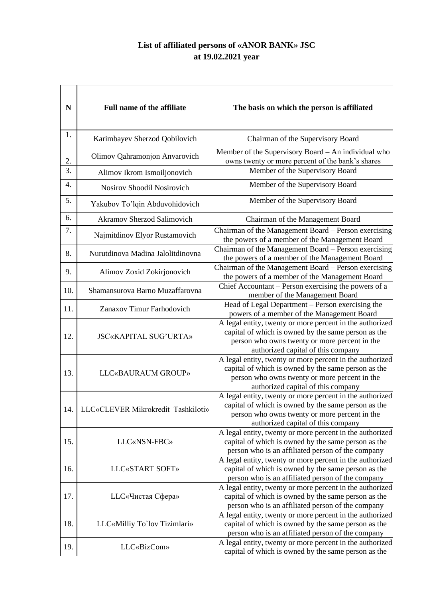## **List of affiliated persons of «ANOR BANK» JSC at 19.02.2021 year**

| N                | <b>Full name of the affiliate</b>  | The basis on which the person is affiliated                                                                                                                                                            |
|------------------|------------------------------------|--------------------------------------------------------------------------------------------------------------------------------------------------------------------------------------------------------|
| 1.               | Karimbayev Sherzod Qobilovich      | Chairman of the Supervisory Board                                                                                                                                                                      |
| 2.               | Olimov Qahramonjon Anvarovich      | Member of the Supervisory Board – An individual who<br>owns twenty or more percent of the bank's shares                                                                                                |
| $\overline{3}$ . | Alimov Ikrom Ismoiljonovich        | Member of the Supervisory Board                                                                                                                                                                        |
| $\overline{4}$ . | Nosirov Shoodil Nosirovich         | Member of the Supervisory Board                                                                                                                                                                        |
| 5.               | Yakubov To'lqin Abduvohidovich     | Member of the Supervisory Board                                                                                                                                                                        |
| 6.               | <b>Akramov Sherzod Salimovich</b>  | Chairman of the Management Board                                                                                                                                                                       |
| 7.               | Najmitdinov Elyor Rustamovich      | Chairman of the Management Board - Person exercising<br>the powers of a member of the Management Board                                                                                                 |
| 8.               | Nurutdinova Madina Jalolitdinovna  | Chairman of the Management Board - Person exercising<br>the powers of a member of the Management Board                                                                                                 |
| 9.               | Alimov Zoxid Zokirjonovich         | Chairman of the Management Board - Person exercising<br>the powers of a member of the Management Board                                                                                                 |
| 10.              | Shamansurova Barno Muzaffarovna    | Chief Accountant – Person exercising the powers of a<br>member of the Management Board                                                                                                                 |
| 11.              | Zanaxov Timur Farhodovich          | Head of Legal Department – Person exercising the<br>powers of a member of the Management Board                                                                                                         |
| 12.              | <b>JSC«KAPITAL SUG'URTA»</b>       | A legal entity, twenty or more percent in the authorized<br>capital of which is owned by the same person as the<br>person who owns twenty or more percent in the<br>authorized capital of this company |
| 13.              | LLC«BAURAUM GROUP»                 | A legal entity, twenty or more percent in the authorized<br>capital of which is owned by the same person as the<br>person who owns twenty or more percent in the<br>authorized capital of this company |
| 14.              | LLC«CLEVER Mikrokredit Tashkiloti» | A legal entity, twenty or more percent in the authorized<br>capital of which is owned by the same person as the<br>person who owns twenty or more percent in the<br>authorized capital of this company |
| 15.              | LLC«NSN-FBC»                       | A legal entity, twenty or more percent in the authorized<br>capital of which is owned by the same person as the<br>person who is an affiliated person of the company                                   |
| 16.              | LLC«START SOFT»                    | A legal entity, twenty or more percent in the authorized<br>capital of which is owned by the same person as the<br>person who is an affiliated person of the company                                   |
| 17.              | LLC«Чистая Сфера»                  | A legal entity, twenty or more percent in the authorized<br>capital of which is owned by the same person as the<br>person who is an affiliated person of the company                                   |
| 18.              | LLC«Milliy To`lov Tizimlari»       | A legal entity, twenty or more percent in the authorized<br>capital of which is owned by the same person as the<br>person who is an affiliated person of the company                                   |
| 19.              | <b>LLC«BizCom»</b>                 | A legal entity, twenty or more percent in the authorized<br>capital of which is owned by the same person as the                                                                                        |